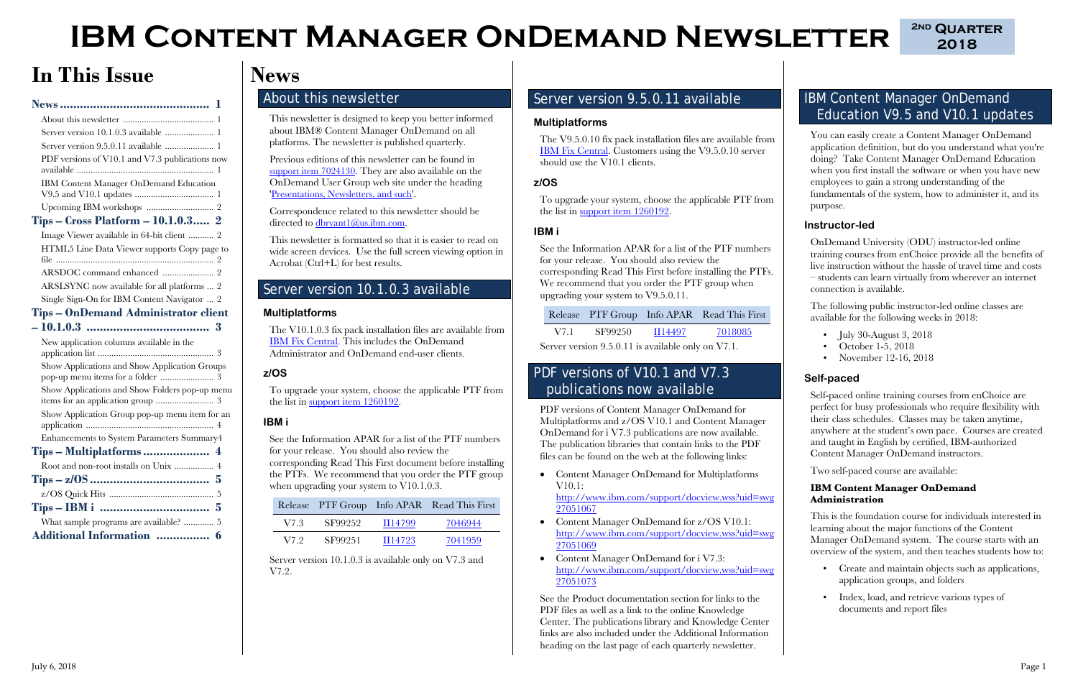**2018**



# **IBM CONTENT MANAGER ONDEMAND NEWSLETTER**  $\frac{2ND \text{ QUARTER}}{2018}$

# **In This Issue**

| Server version 9.5.0.11 available  1                                                |
|-------------------------------------------------------------------------------------|
| PDF versions of V10.1 and V7.3 publications now                                     |
| IBM Content Manager OnDemand Education                                              |
|                                                                                     |
| <b>Tips - Cross Platform - 10.1.0.3</b> 2                                           |
| Image Viewer available in 64-bit client  2                                          |
| HTML5 Line Data Viewer supports Copy page to                                        |
|                                                                                     |
| ARSLSYNC now available for all platforms  2                                         |
| Single Sign-On for IBM Content Navigator  2                                         |
| <b>Tips - OnDemand Administrator client</b>                                         |
|                                                                                     |
|                                                                                     |
| New application columns available in the                                            |
| Show Applications and Show Application Groups                                       |
| pop-up menu items for a folder  3<br>Show Applications and Show Folders pop-up menu |
|                                                                                     |
| Enhancements to System Parameters Summary4                                          |
|                                                                                     |
| Root and non-root installs on Unix  4                                               |
|                                                                                     |
|                                                                                     |
|                                                                                     |
| $Tips - IBM \, i \,  \,  \ldots \, 5$<br>What sample programs are available?  5     |

Correspondence related to this newsletter should be directed to  $\frac{d \text{bryant1}(a)}{u \text{s} \cdot \text{b} \cdot \text{m} \cdot \text{com}}$ .

To upgrade your system, choose the applicable PTF from the list in [support item 1260192.](https://www.ibm.com/support/docview.wss?uid=swg21260192)

See the Information APAR for a list of the PTF numbers for your release. You should also review the corresponding Read This First document before installing the PTFs. We recommend that you order the PTF group when upgrading your system to V10.1.0.3.

# <span id="page-0-0"></span>**News**

### <span id="page-0-1"></span>About this newsletter

This newsletter is designed to keep you better informed about IBM® Content Manager OnDemand on all platforms. The newsletter is published quarterly.

Previous editions of this newsletter can be found in [support item 7024130.](http://www.ibm.com/support/docview.wss?uid=swg27024130) They are also available on the OnDemand User Group web site under the heading ['Presentations, Newsletters, and such'.](http://www.odusergroup.org/forums/index.php)

This newsletter is formatted so that it is easier to read on wide screen devices. Use the full screen viewing option in Acrobat (Ctrl+L) for best results.

### <span id="page-0-2"></span>Server version 10.1.0.3 available

#### **Multiplatforms**

The V10.1.0.3 fix pack installation files are available from [IBM Fix Central.](http://www.ibm.com/support/fixcentral) This includes the OnDemand Administrator and OnDemand end-user clients.

### **z/OS**

- July 30-August 3, 2018
- October 1-5, 2018
- November 12-16, 2018

#### **IBM i**

|      |         |         | Release PTF Group Info APAR Read This First |
|------|---------|---------|---------------------------------------------|
| V7.3 | SF99252 | II14799 | 7046944                                     |
| V7 9 | SF99251 | II14723 | 7041959                                     |

Server version 10.1.0.3 is available only on V7.3 and V7.2.

### <span id="page-0-3"></span>Server version 9.5.0.11 available

#### **Multiplatforms**

The V9.5.0.10 fix pack installation files are available from [IBM Fix Central.](http://www.ibm.com/support/fixcentral) Customers using the V9.5.0.10 server should use the V10.1 clients.

#### **z/OS**

To upgrade your system, choose the applicable PTF from the list in [support item 1260192.](https://www.ibm.com/support/docview.wss?uid=swg21260192)

### **IBM i**

See the Information APAR for a list of the PTF numbers for your release. You should also review the corresponding Read This First before installing the PTFs. We recommend that you order the PTF group when upgrading your system to V9.5.0.11.

Release PTF Group Info APAR Read This First

|  | V7.1 | SF99250 | II14497 | 7018085 |
|--|------|---------|---------|---------|
|--|------|---------|---------|---------|

Server version 9.5.0.11 is available only on V7.1.

### <span id="page-0-4"></span>PDF versions of V10.1 and V7.3 publications now available

PDF versions of Content Manager OnDemand for Multiplatforms and z/OS V10.1 and Content Manager OnDemand for i V7.3 publications are now available. The publication libraries that contain links to the PDF files can be found on the web at the following links:

• Content Manager OnDemand for Multiplatforms V10.1:

[http://www.ibm.com/support/docview.wss?uid=swg](http://www.ibm.com/support/docview.wss?uid=swg27051067) [27051067](http://www.ibm.com/support/docview.wss?uid=swg27051067)

- Content Manager OnDemand for z/OS V10.1: [http://www.ibm.com/support/docview.wss?uid=swg](http://www.ibm.com/support/docview.wss?uid=swg27051069) [27051069](http://www.ibm.com/support/docview.wss?uid=swg27051069)
- Content Manager OnDemand for i V7.3: [http://www.ibm.com/support/docview.wss?uid=swg](http://www.ibm.com/support/docview.wss?uid=swg27051073) [27051073](http://www.ibm.com/support/docview.wss?uid=swg27051073)

See the Product documentation section for links to the PDF files as well as a link to the online Knowledge Center. The publications library and Knowledge Center links are also included under the Additional Information heading on the last page of each quarterly newsletter.

### <span id="page-0-5"></span>IBM Content Manager OnDemand Education V9.5 and V10.1 updates

You can easily create a Content Manager OnDemand application definition, but do you understand what you're doing? Take Content Manager OnDemand Education when you first install the software or when you have new employees to gain a strong understanding of the fundamentals of the system, how to administer it, and its purpose.

#### **Instructor-led**

OnDemand University (ODU) instructor-led online training courses from enChoice provide all the benefits of live instruction without the hassle of travel time and costs – students can learn virtually from wherever an internet connection is available.

The following public instructor-led online classes are available for the following weeks in 2018:

#### **Self-paced**

Self-paced online training courses from enChoice are perfect for busy professionals who require flexibility with their class schedules. Classes may be taken anytime, anywhere at the student's own pace. Courses are created and taught in English by certified, IBM-authorized Content Manager OnDemand instructors.

Two self-paced course are available:

#### **IBM Content Manager OnDemand Administration**

This is the foundation course for individuals interested in learning about the major functions of the Content Manager OnDemand system. The course starts with an overview of the system, and then teaches students how to:

- Create and maintain objects such as applications, application groups, and folders
- Index, load, and retrieve various types of documents and report files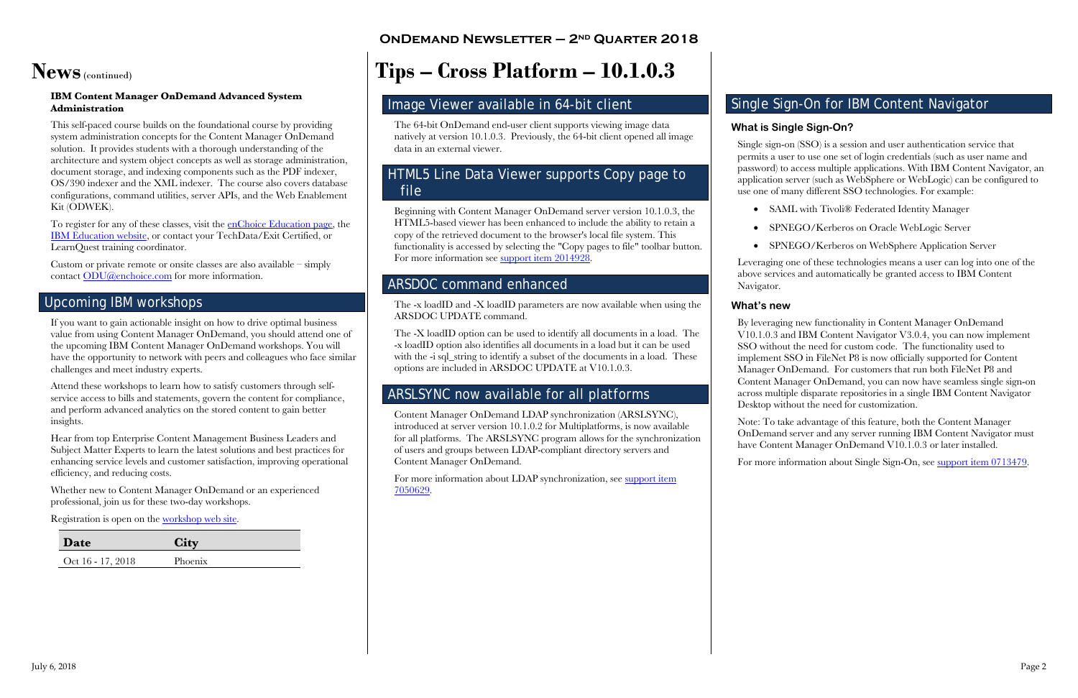## **OnDemand Newsletter – 2nd Quarter 2018**

#### July 6, 2018 Page 2

# **News**(continued)

#### **IBM Content Manager OnDemand Advanced System Administration**

This self-paced course builds on the foundational course by providing system administration concepts for the Content Manager OnDemand solution. It provides students with a thorough understanding of the architecture and system object concepts as well as storage administration, document storage, and indexing components such as the PDF indexer, OS/390 indexer and the XML indexer. The course also covers database configurations, command utilities, server APIs, and the Web Enablement Kit (ODWEK).

To register for any of these classes, visit the [enChoice Education page,](http://www.enchoice.com/Learn/IBMCMODEducation) the [IBM Education website,](https://www-03.ibm.com/services/learning/ites.wss/zz-en?pageType=course_description&cc=&courseCode=U5NEN01G) or contact your TechData/Exit Certified, or LearnQuest training coordinator.

Custom or private remote or onsite classes are also available – simply contact [ODU@enchoice.com](mailto:ODU@enchoice.com?subject=Content%20Manager%20OnDemand%20Education) for more information.

## <span id="page-1-0"></span>Upcoming IBM workshops

If you want to gain actionable insight on how to drive optimal business value from using Content Manager OnDemand, you should attend one of the upcoming IBM Content Manager OnDemand workshops. You will have the opportunity to network with peers and colleagues who face similar challenges and meet industry experts.

Attend these workshops to learn how to satisfy customers through selfservice access to bills and statements, govern the content for compliance, and perform advanced analytics on the stored content to gain better insights.

Hear from top Enterprise Content Management Business Leaders and Subject Matter Experts to learn the latest solutions and best practices for enhancing service levels and customer satisfaction, improving operational efficiency, and reducing costs.

Whether new to Content Manager OnDemand or an experienced professional, join us for these two-day workshops.

Registration is open on the [workshop web site.](https://vottibmswg2.ottawa.ibm.com/analytics/us/en/technology/enterprise-content-management/on-demand.html)

| Date              |         |  |
|-------------------|---------|--|
| Oct 16 - 17, 2018 | Phoenix |  |

# <span id="page-1-1"></span>**Tips – Cross Platform – 10.1.0.3**

### <span id="page-1-2"></span>Image Viewer available in 64-bit client

The 64-bit OnDemand end-user client supports viewing image data natively at version 10.1.0.3. Previously, the 64-bit client opened all image data in an external viewer.

### <span id="page-1-3"></span>HTML5 Line Data Viewer supports Copy page to file

Beginning with Content Manager OnDemand server version 10.1.0.3, the HTML5-based viewer has been enhanced to include the ability to retain a copy of the retrieved document to the browser's local file system. This functionality is accessed by selecting the "Copy pages to file" toolbar button. For more information see [support item 2014928.](http://www.ibm.com/support/docview.wss?uid=swg22014928)

## <span id="page-1-4"></span>ARSDOC command enhanced

The -x loadID and -X loadID parameters are now available when using the ARSDOC UPDATE command.

The -X loadID option can be used to identify all documents in a load. The -x loadID option also identifies all documents in a load but it can be used with the -i sql\_string to identify a subset of the documents in a load. These options are included in ARSDOC UPDATE at V10.1.0.3.

## <span id="page-1-5"></span>ARSLSYNC now available for all platforms

Content Manager OnDemand LDAP synchronization (ARSLSYNC), introduced at server version 10.1.0.2 for Multiplatforms, is now available for all platforms. The ARSLSYNC program allows for the synchronization of users and groups between LDAP-compliant directory servers and Content Manager OnDemand.

For more information about LDAP synchronization, see [support item](http://www.ibm.com/support/docview.wss?uid=swg27050629)  [7050629.](http://www.ibm.com/support/docview.wss?uid=swg27050629)

### <span id="page-1-6"></span>Single Sign-On for IBM Content Navigator

• SAML with Tivoli® Federated Identity Manager

### **What is Single Sign-On?**

Single sign-on (SSO) is a session and user authentication service that permits a user to use one set of login credentials (such as user name and password) to access multiple applications. With IBM Content Navigator, an application server (such as WebSphere or WebLogic) can be configured to use one of many different SSO technologies. For example:

- 
- 
- 

• SPNEGO/Kerberos on Oracle WebLogic Server

• SPNEGO/Kerberos on WebSphere Application Server

Leveraging one of these technologies means a user can log into one of the above services and automatically be granted access to IBM Content Navigator.

### **What's new**

By leveraging new functionality in Content Manager OnDemand V10.1.0.3 and IBM Content Navigator V3.0.4, you can now implement SSO without the need for custom code. The functionality used to implement SSO in FileNet P8 is now officially supported for Content Manager OnDemand. For customers that run both FileNet P8 and Content Manager OnDemand, you can now have seamless single sign-on across multiple disparate repositories in a single IBM Content Navigator Desktop without the need for customization.

Note: To take advantage of this feature, both the Content Manager OnDemand server and any server running IBM Content Navigator must have Content Manager OnDemand V10.1.0.3 or later installed.

For more information about Single Sign-On, see [support item 0713479.](http://www.ibm.com/support/docview.wss?uid=ibm10713479)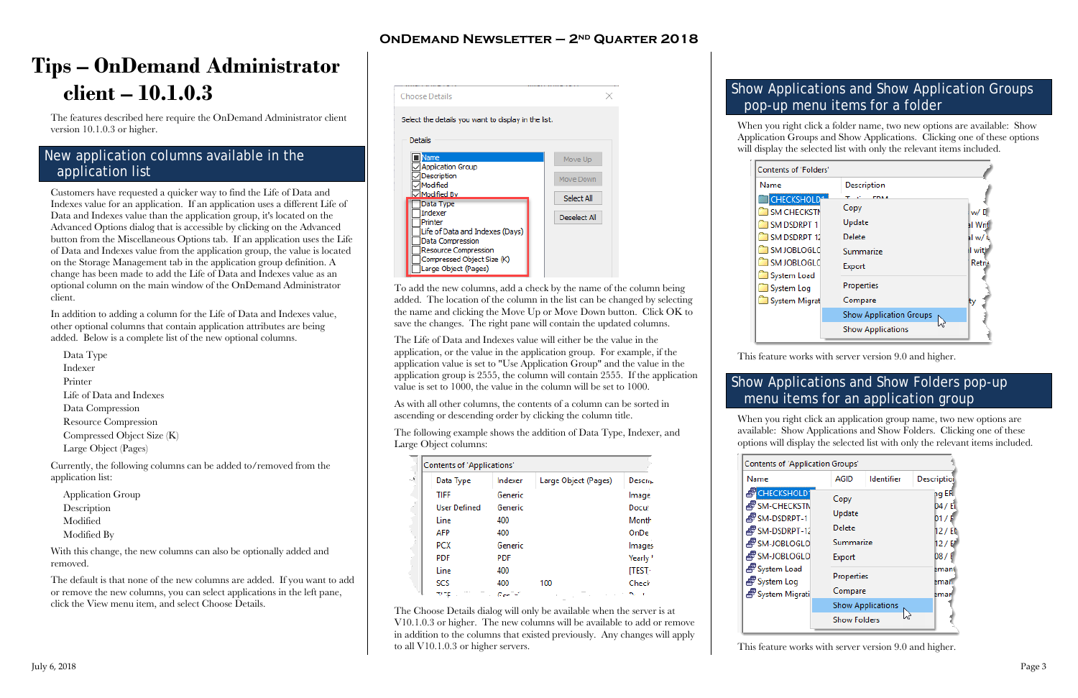## **OnDemand Newsletter – 2nd Quarter 2018**

 $\times$ 

# <span id="page-2-0"></span>**Tips – OnDemand Administrator client – 10.1.0.3**

The features described here require the OnDemand Administrator client version 10.1.0.3 or higher.

### <span id="page-2-1"></span>New application columns available in the application list

Customers have requested a quicker way to find the Life of Data and Indexes value for an application. If an application uses a different Life of Data and Indexes value than the application group, it's located on the Advanced Options dialog that is accessible by clicking on the Advanced button from the Miscellaneous Options tab. If an application uses the Life of Data and Indexes value from the application group, the value is located on the Storage Management tab in the application group definition. A change has been made to add the Life of Data and Indexes value as an optional column on the main window of the OnDemand Administrator client.

In addition to adding a column for the Life of Data and Indexes value, other optional columns that contain application attributes are being added. Below is a complete list of the new optional columns.

Data Type Indexer Printer Life of Data and Indexes Data Compression Resource Compression Compressed Object Size (K) Large Object (Pages)

Currently, the following columns can be added to/removed from the application list:

Application Group Description Modified Modified By

With this change, the new columns can also be optionally added and removed.

The default is that none of the new columns are added. If you want to add or remove the new columns, you can select applications in the left pane, click the View menu item, and select Choose Details.



To add the new columns, add a check by the name of the column being added. The location of the column in the list can be changed by selecting the name and clicking the Move Up or Move Down button. Click OK to save the changes. The right pane will contain the updated columns.

The Life of Data and Indexes value will either be the value in the application, or the value in the application group. For example, if the application value is set to "Use Application Group" and the value in the application group is 2555, the column will contain 2555. If the application value is set to 1000, the value in the column will be set to 1000.

As with all other columns, the contents of a column can be sorted in ascending or descending order by clicking the column title.

The following example shows the addition of Data Type, Indexer, and Large Object columns:

| <b>Contents of 'Applications'</b> |            |                      |                 |
|-----------------------------------|------------|----------------------|-----------------|
| Data Type                         | Indexer    | Large Object (Pages) | <b>Descript</b> |
| <b>TIFF</b>                       | Generic    |                      | Image           |
| <b>User Defined</b>               | Generic    |                      | <b>Docu</b>     |
| Line                              | 400        |                      | Month           |
| AFP                               | 400        |                      | OnDe            |
| <b>PCX</b>                        | Generic    |                      | Images          |
| <b>PDF</b>                        | <b>PDF</b> |                      | <b>Yearly</b>   |
| Line                              | 400        |                      | [TEST           |
| SCS                               | 400        | 100                  | Check           |
|                                   | Gee        |                      |                 |

The Choose Details dialog will only be available when the server is at V10.1.0.3 or higher. The new columns will be available to add or remove in addition to the columns that existed previously. Any changes will apply to all V10.1.0.3 or higher servers.



### <span id="page-2-2"></span>Show Applications and Show Application Groups pop-up menu items for a folder

When you right click a folder name, two new options are available: Show Application Groups and Show Applications. Clicking one of these options will display the selected list with only the relevant items included.

| of 'Folders'                                                                       |                                                                  |                                                            |
|------------------------------------------------------------------------------------|------------------------------------------------------------------|------------------------------------------------------------|
|                                                                                    | Description                                                      |                                                            |
| <b>SHOLD</b><br><b>IECKSTN</b><br>DRPT <sub>1</sub><br>DRPT 12<br>BLOGLC<br>BLOGLC | <b>FINA 4</b><br>Copy<br>Update<br>Delete<br>Summarize<br>Export | w/L<br><b>al</b> Writ<br>al w/<br>il with<br><b>Retri-</b> |
| n Load<br>n Log<br>n Migrat                                                        | Properties<br>Compare<br><b>Show Application Groups</b>          | ty                                                         |
|                                                                                    | <b>Show Applications</b>                                         |                                                            |

| <b>Contents of 'Application Groups'</b>                                                                                                                         |                                                                                                 |                          |                                                                             |  |
|-----------------------------------------------------------------------------------------------------------------------------------------------------------------|-------------------------------------------------------------------------------------------------|--------------------------|-----------------------------------------------------------------------------|--|
| Name                                                                                                                                                            | AGID                                                                                            | <b>Identifier</b>        | <b>Description</b>                                                          |  |
| <b>FCHECKSHOLD</b><br>தி SM-CHECKSTN<br>∯SM-DSDRPT-1<br>4 SM-DSDRPT-12<br>4 SM-JOBLOGLO<br>∯ SM-JOBLOGLO<br>e System Load<br>ේ System Log<br>ුම් System Migrati | Copy<br>Update<br>Delete<br>Summarize<br>Export<br>Properties<br>Compare<br><b>Show Folders</b> | <b>Show Applications</b> | ng ER<br>04 / Ei<br>01/F<br>12/EM<br>12 / E<br>D8/F<br>Eman<br>emar<br>Emar |  |

This feature works with server version 9.0 and higher.

## <span id="page-2-3"></span>Show Applications and Show Folders pop-up menu items for an application group

When you right click an application group name, two new options are available: Show Applications and Show Folders. Clicking one of these options will display the selected list with only the relevant items included.

| ິ                      |
|------------------------|
| Name                   |
| <b>F</b> CHECKSH       |
| <del>ම</del> ් SM-CHEO |
| ச்'ோை DSDR             |
| ச்'ோை DSDR             |
| சீ SM-JOBL(            |
| ේ<br>කිsm-JOBL©        |
| ුම් System Lo          |
| ුම් System Lo          |
| දුම් System M          |
|                        |
|                        |

This feature works with server version 9.0 and higher.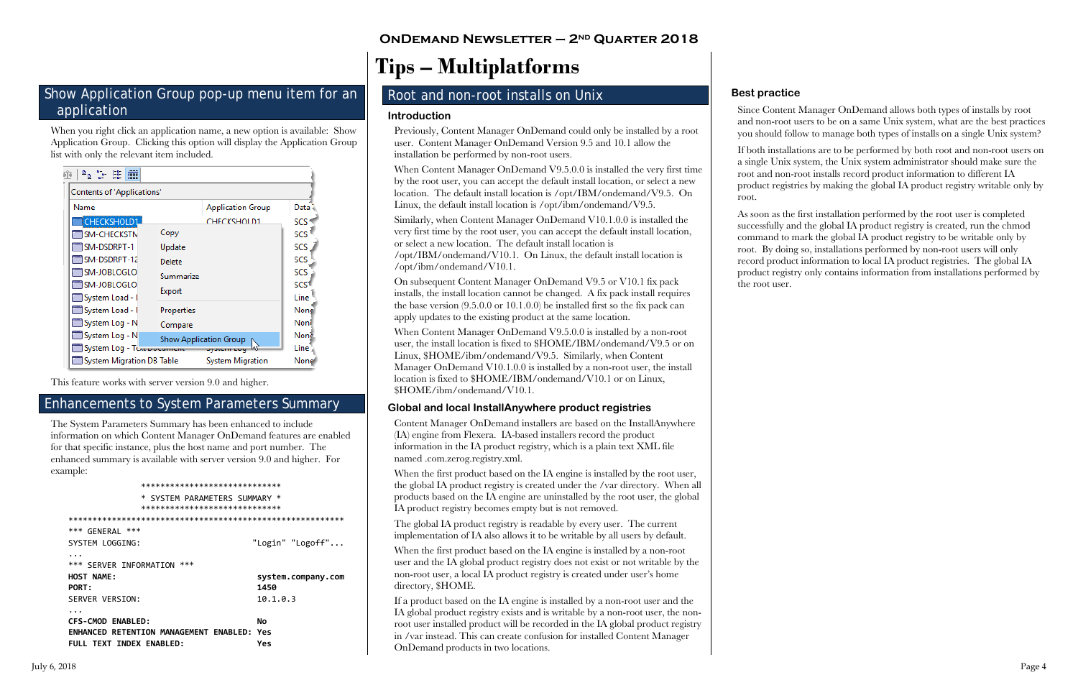### <span id="page-3-0"></span>Show Application Group pop-up menu item for an application

When you right click an application name, a new option is available: Show Application Group. Clicking this option will display the Application Group list with only the relevant item included.

| <b>Contents of 'Applications'</b> |                               |                          |            |  |
|-----------------------------------|-------------------------------|--------------------------|------------|--|
| Name                              |                               | <b>Application Group</b> | Data       |  |
| <b>CHECKSHOLD1</b>                |                               | CHECKSHOLD1              | <b>SCS</b> |  |
| <b>SM-CHECKSTN</b>                | Copy                          |                          | SCS        |  |
| SM-DSDRPT-1                       | Update                        |                          | SCS        |  |
| 1SM-DSDRPT-12                     | Delete                        |                          | SCS        |  |
| ™SM-JOBLOGLO                      | Summarize                     |                          | SCS        |  |
| ™SM-JOBLOGLO                      | Export                        |                          | SCS        |  |
| System Load - I                   |                               |                          | Line       |  |
| System Load - 1                   | Properties                    |                          | None       |  |
| System Log - N                    | Compare                       |                          | Noni       |  |
| System Log - N                    | <b>Show Application Group</b> |                          | None       |  |
| System Log - The pocument         |                               | uyatum uuqii             | Line       |  |
| System Migration DB Table         |                               | System Migration         | None       |  |

This feature works with server version 9.0 and higher.

### <span id="page-3-1"></span>**Enhancements to System Parameters Summary**

The System Parameters Summary has been enhanced to include information on which Content Manager OnDemand features are enabled for that specific instance, plus the host name and port number. The enhanced summary is available with server version 9.0 and higher. For example:

#### \*\*\*\*\*\*\*\*\*\*\*\*\*\*\*\*\*\*\*\*\*\*\*\*\*\*\*\*\* \* SYSTEM PARAMETERS SUMMARY \* \*\*\*\*\*\*\*\*\*\*\*\*\*\*\*\*\*\*\*\*\*\*\*\*\*\*\*\*\* \*\*\* GENERAL \*\*\* SYSTEM LOGGING: "Login" "Logoff"... \*\*\* SERVER INFORMATION \*\*\* **HOST NAME:** system.company.com 1450 PORT:  $10.1.0.3$ SERVER VERSION: CFS-CMOD ENABLED: **No** ENHANCED RETENTION MANAGEMENT ENABLED: Yes FULL TEXT INDEX ENABLED: Yes

## **ONDEMAND NEWSLETTER - 2ND QUARTER 2018**

# <span id="page-3-2"></span>**Tips - Multiplatforms**

### <span id="page-3-3"></span>Root and non-root installs on Unix

#### **Introduction**

Previously, Content Manager OnDemand could only be installed by a root user. Content Manager OnDemand Version 9.5 and 10.1 allow the installation be performed by non-root users.

When Content Manager OnDemand V9.5.0.0 is installed the very first time by the root user, you can accept the default install location, or select a new location. The default install location is /opt/IBM/ondemand/V9.5. On Linux, the default install location is /opt/ibm/ondemand/V9.5.

Similarly, when Content Manager OnDemand V10.1.0.0 is installed the very first time by the root user, you can accept the default install location, or select a new location. The default install location is /opt/IBM/ondemand/V10.1. On Linux, the default install location is /opt/ibm/ondemand/V10.1.

On subsequent Content Manager OnDemand V9.5 or V10.1 fix pack installs, the install location cannot be changed. A fix pack install requires the base version  $(9.5.0.0 \text{ or } 10.1.0.0)$  be installed first so the fix pack can apply updates to the existing product at the same location.

When Content Manager OnDemand V9.5.0.0 is installed by a non-root user, the install location is fixed to \$HOME/IBM/ondemand/V9.5 or on Linux, \$HOME/ibm/ondemand/V9.5. Similarly, when Content Manager OnDemand V10.1.0.0 is installed by a non-root user, the install location is fixed to \$HOME/IBM/ondemand/V10.1 or on Linux, \$HOME/ibm/ondemand/V10.1.

#### Global and local InstallAnywhere product registries

Content Manager OnDemand installers are based on the InstallAnywhere (IA) engine from Flexera. IA-based installers record the product information in the IA product registry, which is a plain text XML file named .com.zerog.registry.xml.

When the first product based on the IA engine is installed by the root user, the global IA product registry is created under the /var directory. When all products based on the IA engine are uninstalled by the root user, the global IA product registry becomes empty but is not removed.

The global IA product registry is readable by every user. The current implementation of IA also allows it to be writable by all users by default.

When the first product based on the IA engine is installed by a non-root user and the IA global product registry does not exist or not writable by the non-root user, a local IA product registry is created under user's home directory, \$HOME.

If a product based on the IA engine is installed by a non-root user and the IA global product registry exists and is writable by a non-root user, the nonroot user installed product will be recorded in the IA global product registry in /var instead. This can create confusion for installed Content Manager OnDemand products in two locations.

### **Best practice**

Since Content Manager OnDemand allows both types of installs by root and non-root users to be on a same Unix system, what are the best practices you should follow to manage both types of installs on a single Unix system?

If both installations are to be performed by both root and non-root users on a single Unix system, the Unix system administrator should make sure the root and non-root installs record product information to different IA product registries by making the global IA product registry writable only by root.

As soon as the first installation performed by the root user is completed successfully and the global IA product registry is created, run the chmod command to mark the global IA product registry to be writable only by root. By doing so, installations performed by non-root users will only record product information to local IA product registries. The global IA product registry only contains information from installations performed by the root user.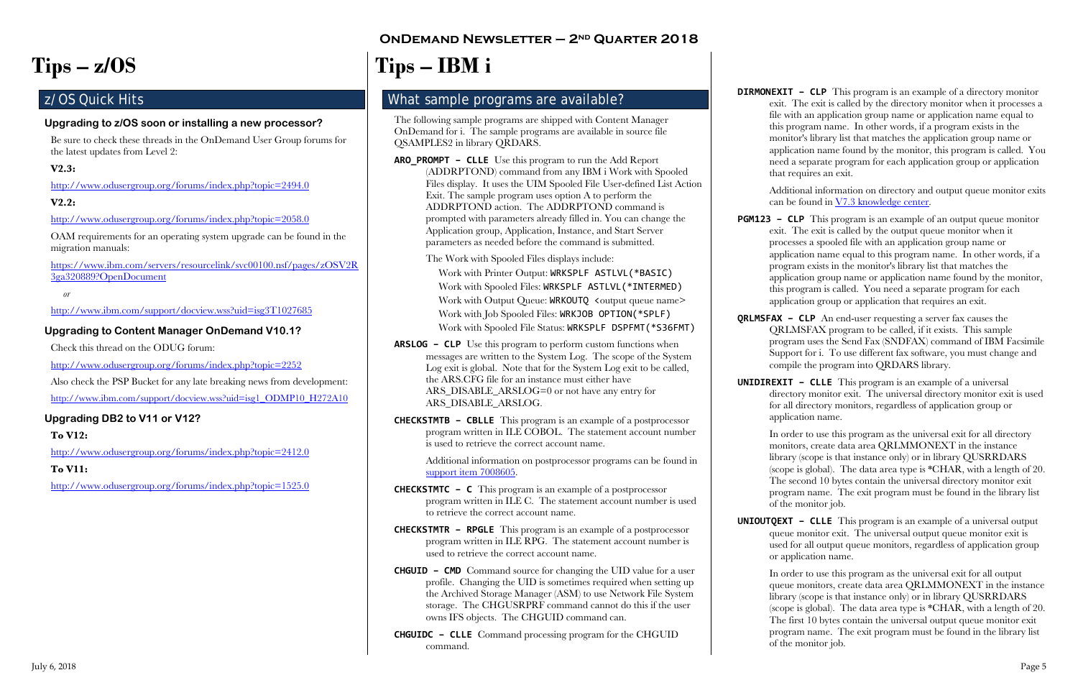# **OnDemand Newsletter – 2nd Quarter 2018**

# <span id="page-4-0"></span>**Tips – z/OS**

## <span id="page-4-1"></span>z/OS Quick Hits

#### **Upgrading to z/OS soon or installing a new processor?**

Be sure to check these threads in the OnDemand User Group forums for the latest updates from Level 2:

#### **V2.3:**

<http://www.odusergroup.org/forums/index.php?topic=2494.0>

#### **V2.2:**

<http://www.odusergroup.org/forums/index.php?topic=2058.0>

Also check the PSP Bucket for any late breaking news from development: [http://www.ibm.com/support/docview.wss?uid=isg1\\_ODMP10\\_H272A10](http://www.ibm.com/support/docview.wss?uid=isg1_ODMP10_H272A10)

OAM requirements for an operating system upgrade can be found in the migration manuals:

[https://www.ibm.com/servers/resourcelink/svc00100.nsf/pages/zOSV2R](https://www.ibm.com/servers/resourcelink/svc00100.nsf/pages/zOSV2R3ga320889?OpenDocument) [3ga320889?OpenDocument](https://www.ibm.com/servers/resourcelink/svc00100.nsf/pages/zOSV2R3ga320889?OpenDocument)

*or*

<http://www.ibm.com/support/docview.wss?uid=isg3T1027685>

### **Upgrading to Content Manager OnDemand V10.1?**

Check this thread on the ODUG forum:

<http://www.odusergroup.org/forums/index.php?topic=2252>

#### **Upgrading DB2 to V11 or V12?**

#### **To V12:**

<http://www.odusergroup.org/forums/index.php?topic=2412.0>

#### **To V11:**

<http://www.odusergroup.org/forums/index.php?topic=1525.0>

# <span id="page-4-2"></span>**Tips – IBM i**

### <span id="page-4-3"></span>What sample programs are available?

The following sample programs are shipped with Content Manager OnDemand for i. The sample programs are available in source file QSAMPLES2 in library QRDARS.

**ARO\_PROMPT – CLLE** Use this program to run the Add Report (ADDRPTOND) command from any IBM i Work with Spooled Files display. It uses the UIM Spooled File User-defined List Action Exit. The sample program uses option A to perform the ADDRPTOND action. The ADDRPTOND command is prompted with parameters already filled in. You can change the Application group, Application, Instance, and Start Server parameters as needed before the command is submitted.

The Work with Spooled Files displays include:

Work with Printer Output: WRKSPLF ASTLVL(\*BASIC) Work with Spooled Files: WRKSPLF ASTLVL(\*INTERMED) Work with Output Queue: WRKOUTQ <output queue name> Work with Job Spooled Files: WRKJOB OPTION(\*SPLF) Work with Spooled File Status: WRKSPLF DSPFMT(\*S36FMT)

- **ARSLOG – CLP** Use this program to perform custom functions when messages are written to the System Log. The scope of the System Log exit is global. Note that for the System Log exit to be called, the ARS.CFG file for an instance must either have ARS\_DISABLE\_ARSLOG=0 or not have any entry for ARS\_DISABLE\_ARSLOG.
- **CHECKSTMTB – CBLLE** This program is an example of a postprocessor program written in ILE COBOL. The statement account number is used to retrieve the correct account name.

Additional information on postprocessor programs can be found in [support item 7008605.](http://www.ibm.com/support/docview.wss?uid=swg27008605)

- **CHECKSTMTC – C** This program is an example of a postprocessor program written in ILE C. The statement account number is used to retrieve the correct account name.
- **CHECKSTMTR – RPGLE** This program is an example of a postprocessor program written in ILE RPG. The statement account number is used to retrieve the correct account name.
- **CHGUID – CMD** Command source for changing the UID value for a user profile. Changing the UID is sometimes required when setting up the Archived Storage Manager (ASM) to use Network File System storage. The CHGUSRPRF command cannot do this if the user owns IFS objects. The CHGUID command can.
- **CHGUIDC – CLLE** Command processing program for the CHGUID command.

**DIRMONEXIT – CLP** This program is an example of a directory monitor exit. The exit is called by the directory monitor when it processes a file with an application group name or application name equal to this program name. In other words, if a program exists in the monitor's library list that matches the application group name or application name found by the monitor, this program is called. You need a separate program for each application group or application that requires an exit.

> Additional information on directory and output queue monitor exits can be found in [V7.3 knowledge center.](https://www.ibm.com/support/knowledgecenter/SSB2EG_7.3.0/com.ibm.ondemand.administeringi5os.doc/dodur006.htm)

**PGM123 – CLP** This program is an example of an output queue monitor exit. The exit is called by the output queue monitor when it processes a spooled file with an application group name or application name equal to this program name. In other words, if a program exists in the monitor's library list that matches the application group name or application name found by the monitor, this program is called. You need a separate program for each application group or application that requires an exit.

**QRLMSFAX – CLP** An end-user requesting a server fax causes the QRLMSFAX program to be called, if it exists. This sample program uses the Send Fax (SNDFAX) command of IBM Facsimile Support for i. To use different fax software, you must change and compile the program into QRDARS library.

**UNIDIREXIT – CLLE** This program is an example of a universal directory monitor exit. The universal directory monitor exit is used for all directory monitors, regardless of application group or application name.

In order to use this program as the universal exit for all directory monitors, create data area QRLMMONEXT in the instance library (scope is that instance only) or in library QUSRRDARS (scope is global). The data area type is \*CHAR, with a length of 20. The second 10 bytes contain the universal directory monitor exit program name. The exit program must be found in the library list of the monitor job.

**UNIOUTQEXT – CLLE** This program is an example of a universal output queue monitor exit. The universal output queue monitor exit is used for all output queue monitors, regardless of application group or application name.

In order to use this program as the universal exit for all output queue monitors, create data area QRLMMONEXT in the instance library (scope is that instance only) or in library QUSRRDARS (scope is global). The data area type is \*CHAR, with a length of 20. The first 10 bytes contain the universal output queue monitor exit program name. The exit program must be found in the library list of the monitor job.